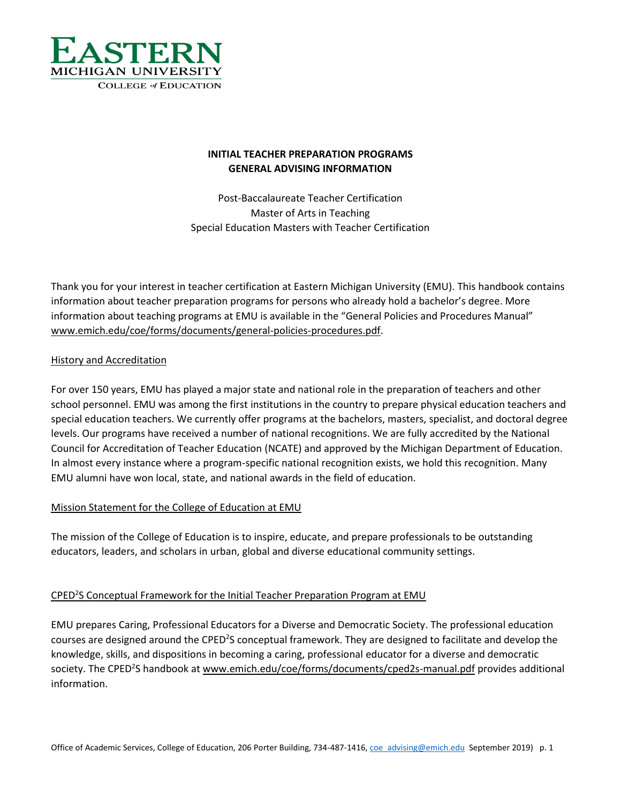

# **INITIAL TEACHER PREPARATION PROGRAMS GENERAL ADVISING INFORMATION**

Post-Baccalaureate Teacher Certification Master of Arts in Teaching Special Education Masters with Teacher Certification

Thank you for your interest in teacher certification at Eastern Michigan University (EMU). This handbook contains information about teacher preparation programs for persons who already hold a bachelor's degree. More information about teaching programs at EMU is available in the "General Policies and Procedures Manual" [www.emich.edu/coe/forms/documents/general-policies-procedures.pdf.](http://www.emich.edu/coe/forms/documents/general-policies-procedures.pdf)

# History and Accreditation

For over 150 years, EMU has played a major state and national role in the preparation of teachers and other school personnel. EMU was among the first institutions in the country to prepare physical education teachers and special education teachers. We currently offer programs at the bachelors, masters, specialist, and doctoral degree levels. Our programs have received a number of national recognitions. We are fully accredited by the National Council for Accreditation of Teacher Education (NCATE) and approved by the Michigan Department of Education. In almost every instance where a program-specific national recognition exists, we hold this recognition. Many EMU alumni have won local, state, and national awards in the field of education.

# Mission Statement for the College of Education at EMU

The mission of the College of Education is to inspire, educate, and prepare professionals to be outstanding educators, leaders, and scholars in urban, global and diverse educational community settings.

# CPED<sup>2</sup>S Conceptual Framework for the Initial Teacher Preparation Program at EMU

EMU prepares Caring, Professional Educators for a Diverse and Democratic Society. The professional education courses are designed around the CPED<sup>2</sup>S conceptual framework. They are designed to facilitate and develop the knowledge, skills, and dispositions in becoming a caring, professional educator for a diverse and democratic society. The CPED<sup>2</sup>S handbook at [www.emich.edu/coe/forms/documents/cped2s-manual.pdf](http://www.emich.edu/coe/forms/documents/cped2s-manual.pdf) provides additional information.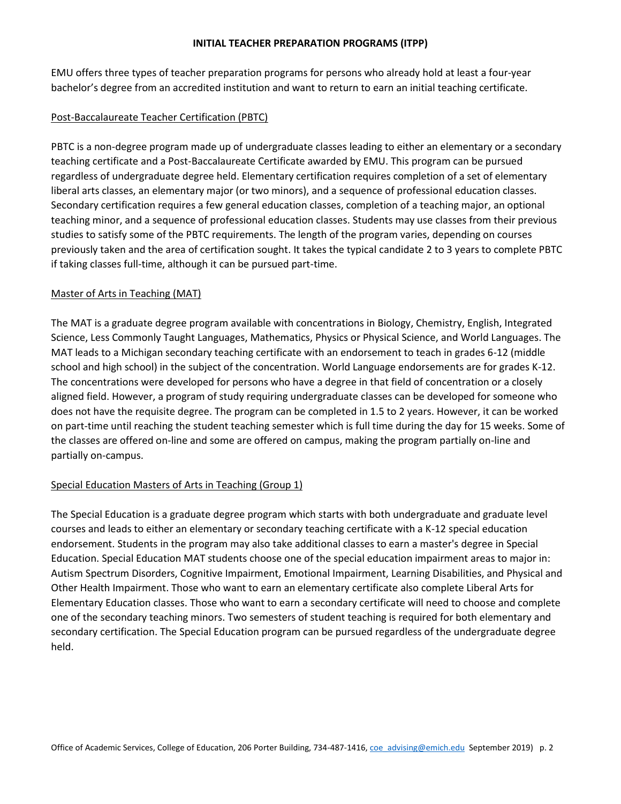#### **INITIAL TEACHER PREPARATION PROGRAMS (ITPP)**

EMU offers three types of teacher preparation programs for persons who already hold at least a four-year bachelor's degree from an accredited institution and want to return to earn an initial teaching certificate.

## Post-Baccalaureate Teacher Certification (PBTC)

PBTC is a non-degree program made up of undergraduate classes leading to either an elementary or a secondary teaching certificate and a Post-Baccalaureate Certificate awarded by EMU. This program can be pursued regardless of undergraduate degree held. Elementary certification requires completion of a set of elementary liberal arts classes, an elementary major (or two minors), and a sequence of professional education classes. Secondary certification requires a few general education classes, completion of a teaching major, an optional teaching minor, and a sequence of professional education classes. Students may use classes from their previous studies to satisfy some of the PBTC requirements. The length of the program varies, depending on courses previously taken and the area of certification sought. It takes the typical candidate 2 to 3 years to complete PBTC if taking classes full-time, although it can be pursued part-time.

## Master of Arts in Teaching (MAT)

The MAT is a graduate degree program available with concentrations in Biology, Chemistry, English, Integrated Science, Less Commonly Taught Languages, Mathematics, Physics or Physical Science, and World Languages. The MAT leads to a Michigan secondary teaching certificate with an endorsement to teach in grades 6-12 (middle school and high school) in the subject of the concentration. World Language endorsements are for grades K-12. The concentrations were developed for persons who have a degree in that field of concentration or a closely aligned field. However, a program of study requiring undergraduate classes can be developed for someone who does not have the requisite degree. The program can be completed in 1.5 to 2 years. However, it can be worked on part-time until reaching the student teaching semester which is full time during the day for 15 weeks. Some of the classes are offered on-line and some are offered on campus, making the program partially on-line and partially on-campus.

# Special Education Masters of Arts in Teaching (Group 1)

The Special Education is a graduate degree program which starts with both undergraduate and graduate level courses and leads to either an elementary or secondary teaching certificate with a K-12 special education endorsement. Students in the program may also take additional classes to earn a master's degree in Special Education. Special Education MAT students choose one of the special education impairment areas to major in: Autism Spectrum Disorders, Cognitive Impairment, Emotional Impairment, Learning Disabilities, and Physical and Other Health Impairment. Those who want to earn an elementary certificate also complete Liberal Arts for Elementary Education classes. Those who want to earn a secondary certificate will need to choose and complete one of the secondary teaching minors. Two semesters of student teaching is required for both elementary and secondary certification. The Special Education program can be pursued regardless of the undergraduate degree held.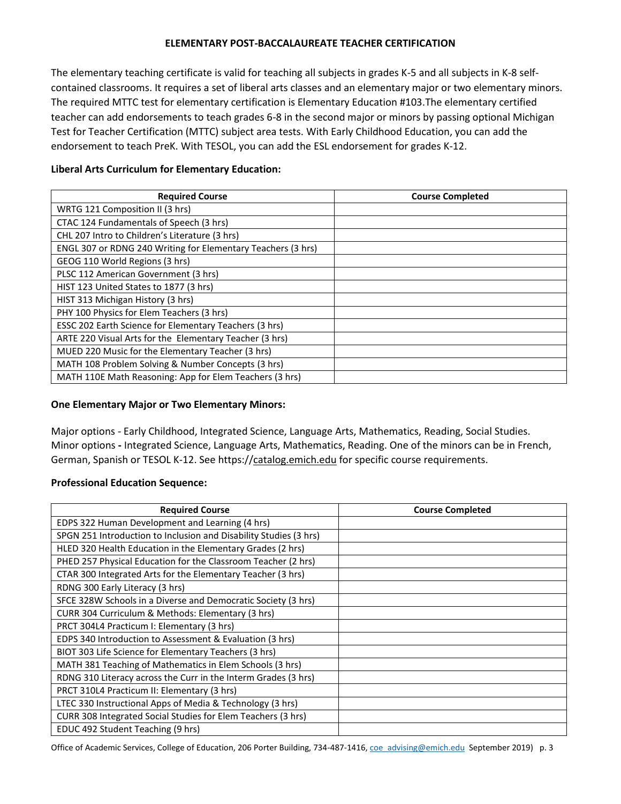#### **ELEMENTARY POST-BACCALAUREATE TEACHER CERTIFICATION**

The elementary teaching certificate is valid for teaching all subjects in grades K-5 and all subjects in K-8 selfcontained classrooms. It requires a set of liberal arts classes and an elementary major or two elementary minors. The required MTTC test for elementary certification is Elementary Education #103.The elementary certified teacher can add endorsements to teach grades 6-8 in the second major or minors by passing optional Michigan Test for Teacher Certification (MTTC) subject area tests. With Early Childhood Education, you can add the endorsement to teach PreK. With TESOL, you can add the ESL endorsement for grades K-12.

| <b>Required Course</b>                                       | <b>Course Completed</b> |
|--------------------------------------------------------------|-------------------------|
| WRTG 121 Composition II (3 hrs)                              |                         |
| CTAC 124 Fundamentals of Speech (3 hrs)                      |                         |
| CHL 207 Intro to Children's Literature (3 hrs)               |                         |
| ENGL 307 or RDNG 240 Writing for Elementary Teachers (3 hrs) |                         |
| GEOG 110 World Regions (3 hrs)                               |                         |
| PLSC 112 American Government (3 hrs)                         |                         |
| HIST 123 United States to 1877 (3 hrs)                       |                         |
| HIST 313 Michigan History (3 hrs)                            |                         |
| PHY 100 Physics for Elem Teachers (3 hrs)                    |                         |
| ESSC 202 Earth Science for Elementary Teachers (3 hrs)       |                         |
| ARTE 220 Visual Arts for the Elementary Teacher (3 hrs)      |                         |
| MUED 220 Music for the Elementary Teacher (3 hrs)            |                         |
| MATH 108 Problem Solving & Number Concepts (3 hrs)           |                         |
| MATH 110E Math Reasoning: App for Elem Teachers (3 hrs)      |                         |

## **Liberal Arts Curriculum for Elementary Education:**

#### **One Elementary Major or Two Elementary Minors:**

Major options - Early Childhood, Integrated Science, Language Arts, Mathematics, Reading, Social Studies. Minor options **-** Integrated Science, Language Arts, Mathematics, Reading. One of the minors can be in French, German, Spanish or TESOL K-12. See https://catalog.emich.edu for specific course requirements.

# **Professional Education Sequence:**

| <b>Required Course</b>                                            | <b>Course Completed</b> |
|-------------------------------------------------------------------|-------------------------|
| EDPS 322 Human Development and Learning (4 hrs)                   |                         |
| SPGN 251 Introduction to Inclusion and Disability Studies (3 hrs) |                         |
| HLED 320 Health Education in the Elementary Grades (2 hrs)        |                         |
| PHED 257 Physical Education for the Classroom Teacher (2 hrs)     |                         |
| CTAR 300 Integrated Arts for the Elementary Teacher (3 hrs)       |                         |
| RDNG 300 Early Literacy (3 hrs)                                   |                         |
| SFCE 328W Schools in a Diverse and Democratic Society (3 hrs)     |                         |
| CURR 304 Curriculum & Methods: Elementary (3 hrs)                 |                         |
| PRCT 304L4 Practicum I: Elementary (3 hrs)                        |                         |
| EDPS 340 Introduction to Assessment & Evaluation (3 hrs)          |                         |
| BIOT 303 Life Science for Elementary Teachers (3 hrs)             |                         |
| MATH 381 Teaching of Mathematics in Elem Schools (3 hrs)          |                         |
| RDNG 310 Literacy across the Curr in the Interm Grades (3 hrs)    |                         |
| PRCT 310L4 Practicum II: Elementary (3 hrs)                       |                         |
| LTEC 330 Instructional Apps of Media & Technology (3 hrs)         |                         |
| CURR 308 Integrated Social Studies for Elem Teachers (3 hrs)      |                         |
| EDUC 492 Student Teaching (9 hrs)                                 |                         |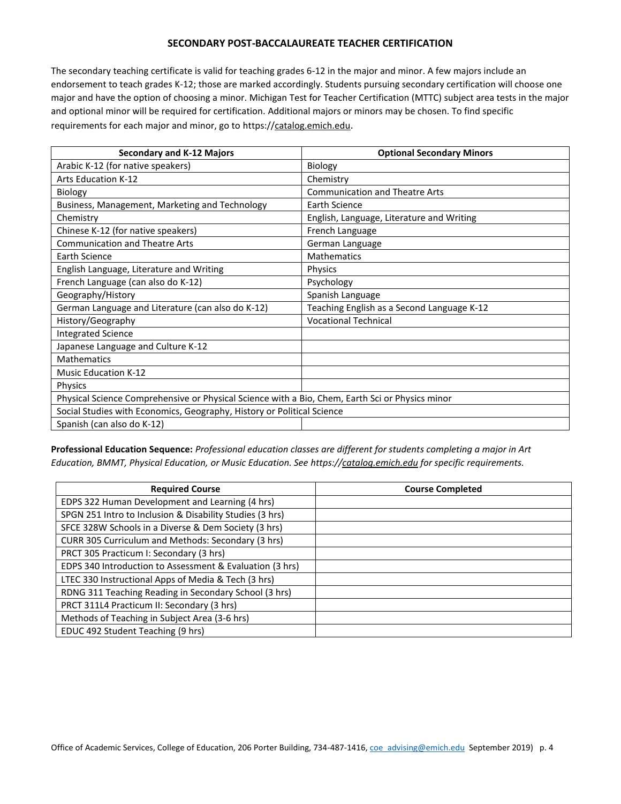#### **SECONDARY POST-BACCALAUREATE TEACHER CERTIFICATION**

The secondary teaching certificate is valid for teaching grades 6-12 in the major and minor. A few majors include an endorsement to teach grades K-12; those are marked accordingly. Students pursuing secondary certification will choose one major and have the option of choosing a minor. Michigan Test for Teacher Certification (MTTC) subject area tests in the major and optional minor will be required for certification. Additional majors or minors may be chosen. To find specific requirements for each major and minor, go to https://catalog.emich.edu.

| <b>Secondary and K-12 Majors</b>                                                                | <b>Optional Secondary Minors</b>           |
|-------------------------------------------------------------------------------------------------|--------------------------------------------|
| Arabic K-12 (for native speakers)                                                               | Biology                                    |
| <b>Arts Education K-12</b>                                                                      | Chemistry                                  |
| Biology                                                                                         | <b>Communication and Theatre Arts</b>      |
| Business, Management, Marketing and Technology                                                  | Earth Science                              |
| Chemistry                                                                                       | English, Language, Literature and Writing  |
| Chinese K-12 (for native speakers)                                                              | French Language                            |
| <b>Communication and Theatre Arts</b>                                                           | German Language                            |
| <b>Earth Science</b>                                                                            | <b>Mathematics</b>                         |
| English Language, Literature and Writing                                                        | <b>Physics</b>                             |
| French Language (can also do K-12)                                                              | Psychology                                 |
| Geography/History                                                                               | Spanish Language                           |
| German Language and Literature (can also do K-12)                                               | Teaching English as a Second Language K-12 |
| History/Geography                                                                               | <b>Vocational Technical</b>                |
| <b>Integrated Science</b>                                                                       |                                            |
| Japanese Language and Culture K-12                                                              |                                            |
| <b>Mathematics</b>                                                                              |                                            |
| <b>Music Education K-12</b>                                                                     |                                            |
| Physics                                                                                         |                                            |
| Physical Science Comprehensive or Physical Science with a Bio, Chem, Earth Sci or Physics minor |                                            |
| Social Studies with Economics, Geography, History or Political Science                          |                                            |
| Spanish (can also do K-12)                                                                      |                                            |

**Professional Education Sequence:** *Professional education classes are different for students completing a major in Art Education, BMMT, Physical Education, or Music Education. See https://catalog.emich.edu for specific requirements.*

| <b>Required Course</b>                                   | <b>Course Completed</b> |
|----------------------------------------------------------|-------------------------|
| EDPS 322 Human Development and Learning (4 hrs)          |                         |
| SPGN 251 Intro to Inclusion & Disability Studies (3 hrs) |                         |
| SFCE 328W Schools in a Diverse & Dem Society (3 hrs)     |                         |
| CURR 305 Curriculum and Methods: Secondary (3 hrs)       |                         |
| PRCT 305 Practicum I: Secondary (3 hrs)                  |                         |
| EDPS 340 Introduction to Assessment & Evaluation (3 hrs) |                         |
| LTEC 330 Instructional Apps of Media & Tech (3 hrs)      |                         |
| RDNG 311 Teaching Reading in Secondary School (3 hrs)    |                         |
| PRCT 311L4 Practicum II: Secondary (3 hrs)               |                         |
| Methods of Teaching in Subject Area (3-6 hrs)            |                         |
| EDUC 492 Student Teaching (9 hrs)                        |                         |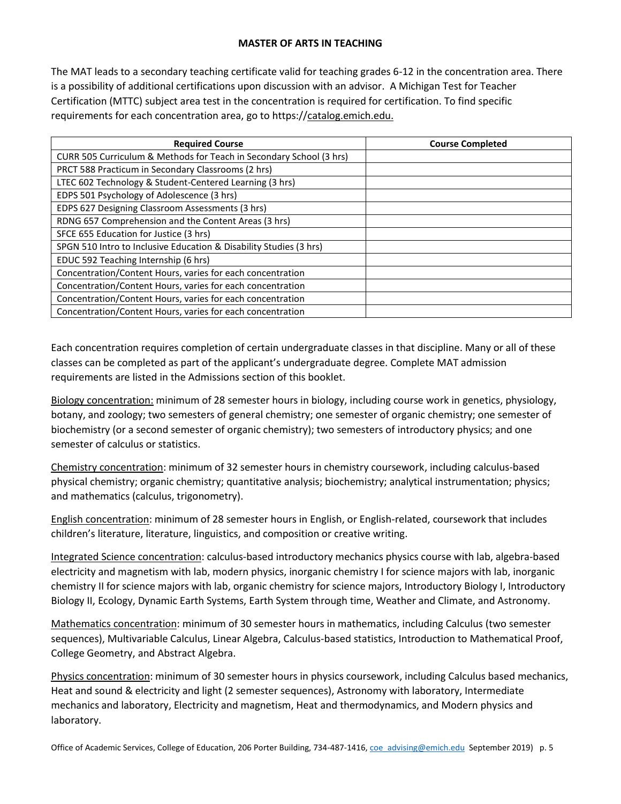## **MASTER OF ARTS IN TEACHING**

The MAT leads to a secondary teaching certificate valid for teaching grades 6-12 in the concentration area. There is a possibility of additional certifications upon discussion with an advisor. A Michigan Test for Teacher Certification (MTTC) subject area test in the concentration is required for certification. To find specific requirements for each concentration area, go to https://catalog.emich.edu.

| <b>Required Course</b>                                              | <b>Course Completed</b> |
|---------------------------------------------------------------------|-------------------------|
| CURR 505 Curriculum & Methods for Teach in Secondary School (3 hrs) |                         |
| PRCT 588 Practicum in Secondary Classrooms (2 hrs)                  |                         |
| LTEC 602 Technology & Student-Centered Learning (3 hrs)             |                         |
| EDPS 501 Psychology of Adolescence (3 hrs)                          |                         |
| EDPS 627 Designing Classroom Assessments (3 hrs)                    |                         |
| RDNG 657 Comprehension and the Content Areas (3 hrs)                |                         |
| SFCE 655 Education for Justice (3 hrs)                              |                         |
| SPGN 510 Intro to Inclusive Education & Disability Studies (3 hrs)  |                         |
| EDUC 592 Teaching Internship (6 hrs)                                |                         |
| Concentration/Content Hours, varies for each concentration          |                         |
| Concentration/Content Hours, varies for each concentration          |                         |
| Concentration/Content Hours, varies for each concentration          |                         |
| Concentration/Content Hours, varies for each concentration          |                         |

Each concentration requires completion of certain undergraduate classes in that discipline. Many or all of these classes can be completed as part of the applicant's undergraduate degree. Complete MAT admission requirements are listed in the Admissions section of this booklet.

Biology concentration: minimum of 28 semester hours in biology, including course work in genetics, physiology, botany, and zoology; two semesters of general chemistry; one semester of organic chemistry; one semester of biochemistry (or a second semester of organic chemistry); two semesters of introductory physics; and one semester of calculus or statistics.

Chemistry concentration: minimum of 32 semester hours in chemistry coursework, including calculus-based physical chemistry; organic chemistry; quantitative analysis; biochemistry; analytical instrumentation; physics; and mathematics (calculus, trigonometry).

English concentration: minimum of 28 semester hours in English, or English-related, coursework that includes children's literature, literature, linguistics, and composition or creative writing.

Integrated Science concentration: calculus-based introductory mechanics physics course with lab, algebra-based electricity and magnetism with lab, modern physics, inorganic chemistry I for science majors with lab, inorganic chemistry II for science majors with lab, organic chemistry for science majors, Introductory Biology I, Introductory Biology II, Ecology, Dynamic Earth Systems, Earth System through time, Weather and Climate, and Astronomy.

Mathematics concentration: minimum of 30 semester hours in mathematics, including Calculus (two semester sequences), Multivariable Calculus, Linear Algebra, Calculus-based statistics, Introduction to Mathematical Proof, College Geometry, and Abstract Algebra.

Physics concentration: minimum of 30 semester hours in physics coursework, including Calculus based mechanics, Heat and sound & electricity and light (2 semester sequences), Astronomy with laboratory, Intermediate mechanics and laboratory, Electricity and magnetism, Heat and thermodynamics, and Modern physics and laboratory.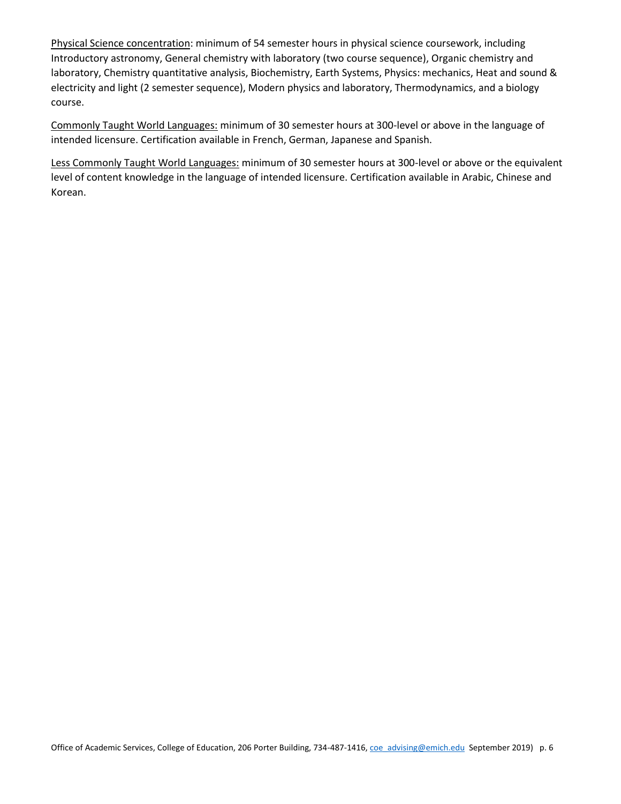Physical Science concentration: minimum of 54 semester hours in physical science coursework, including Introductory astronomy, General chemistry with laboratory (two course sequence), Organic chemistry and laboratory, Chemistry quantitative analysis, Biochemistry, Earth Systems, Physics: mechanics, Heat and sound & electricity and light (2 semester sequence), Modern physics and laboratory, Thermodynamics, and a biology course.

Commonly Taught World Languages: minimum of 30 semester hours at 300-level or above in the language of intended licensure. Certification available in French, German, Japanese and Spanish.

Less Commonly Taught World Languages: minimum of 30 semester hours at 300-level or above or the equivalent level of content knowledge in the language of intended licensure. Certification available in Arabic, Chinese and Korean.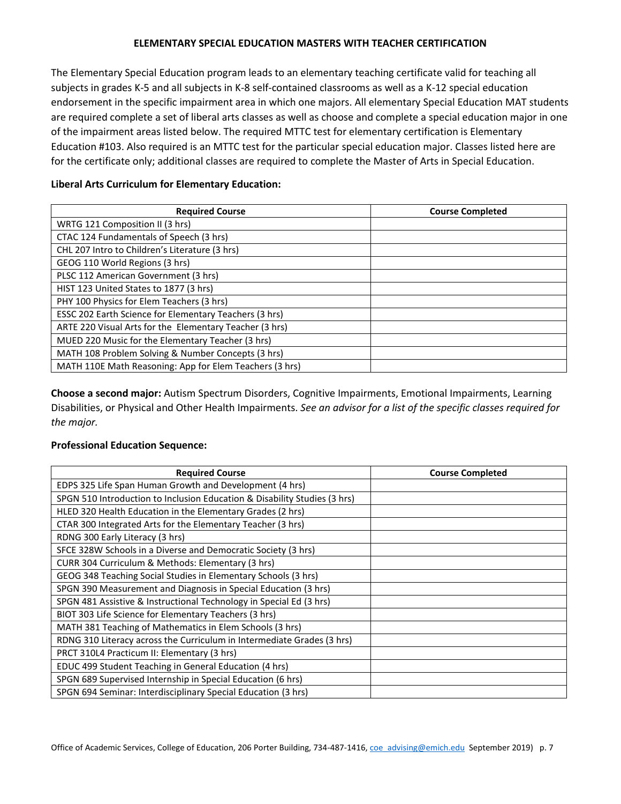## **ELEMENTARY SPECIAL EDUCATION MASTERS WITH TEACHER CERTIFICATION**

The Elementary Special Education program leads to an elementary teaching certificate valid for teaching all subjects in grades K-5 and all subjects in K-8 self-contained classrooms as well as a K-12 special education endorsement in the specific impairment area in which one majors. All elementary Special Education MAT students are required complete a set of liberal arts classes as well as choose and complete a special education major in one of the impairment areas listed below. The required MTTC test for elementary certification is Elementary Education #103. Also required is an MTTC test for the particular special education major. Classes listed here are for the certificate only; additional classes are required to complete the Master of Arts in Special Education.

| <b>Required Course</b>                                  | <b>Course Completed</b> |
|---------------------------------------------------------|-------------------------|
| WRTG 121 Composition II (3 hrs)                         |                         |
| CTAC 124 Fundamentals of Speech (3 hrs)                 |                         |
| CHL 207 Intro to Children's Literature (3 hrs)          |                         |
| GEOG 110 World Regions (3 hrs)                          |                         |
| PLSC 112 American Government (3 hrs)                    |                         |
| HIST 123 United States to 1877 (3 hrs)                  |                         |
| PHY 100 Physics for Elem Teachers (3 hrs)               |                         |
| ESSC 202 Earth Science for Elementary Teachers (3 hrs)  |                         |
| ARTE 220 Visual Arts for the Elementary Teacher (3 hrs) |                         |
| MUED 220 Music for the Elementary Teacher (3 hrs)       |                         |
| MATH 108 Problem Solving & Number Concepts (3 hrs)      |                         |
| MATH 110E Math Reasoning: App for Elem Teachers (3 hrs) |                         |

#### **Liberal Arts Curriculum for Elementary Education:**

**Choose a second major:** Autism Spectrum Disorders, Cognitive Impairments, Emotional Impairments, Learning Disabilities, or Physical and Other Health Impairments. *See an advisor for a list of the specific classes required for the major.*

#### **Professional Education Sequence:**

| <b>Required Course</b>                                                    | <b>Course Completed</b> |
|---------------------------------------------------------------------------|-------------------------|
| EDPS 325 Life Span Human Growth and Development (4 hrs)                   |                         |
| SPGN 510 Introduction to Inclusion Education & Disability Studies (3 hrs) |                         |
| HLED 320 Health Education in the Elementary Grades (2 hrs)                |                         |
| CTAR 300 Integrated Arts for the Elementary Teacher (3 hrs)               |                         |
| RDNG 300 Early Literacy (3 hrs)                                           |                         |
| SFCE 328W Schools in a Diverse and Democratic Society (3 hrs)             |                         |
| CURR 304 Curriculum & Methods: Elementary (3 hrs)                         |                         |
| GEOG 348 Teaching Social Studies in Elementary Schools (3 hrs)            |                         |
| SPGN 390 Measurement and Diagnosis in Special Education (3 hrs)           |                         |
| SPGN 481 Assistive & Instructional Technology in Special Ed (3 hrs)       |                         |
| BIOT 303 Life Science for Elementary Teachers (3 hrs)                     |                         |
| MATH 381 Teaching of Mathematics in Elem Schools (3 hrs)                  |                         |
| RDNG 310 Literacy across the Curriculum in Intermediate Grades (3 hrs)    |                         |
| PRCT 310L4 Practicum II: Elementary (3 hrs)                               |                         |
| EDUC 499 Student Teaching in General Education (4 hrs)                    |                         |
| SPGN 689 Supervised Internship in Special Education (6 hrs)               |                         |
| SPGN 694 Seminar: Interdisciplinary Special Education (3 hrs)             |                         |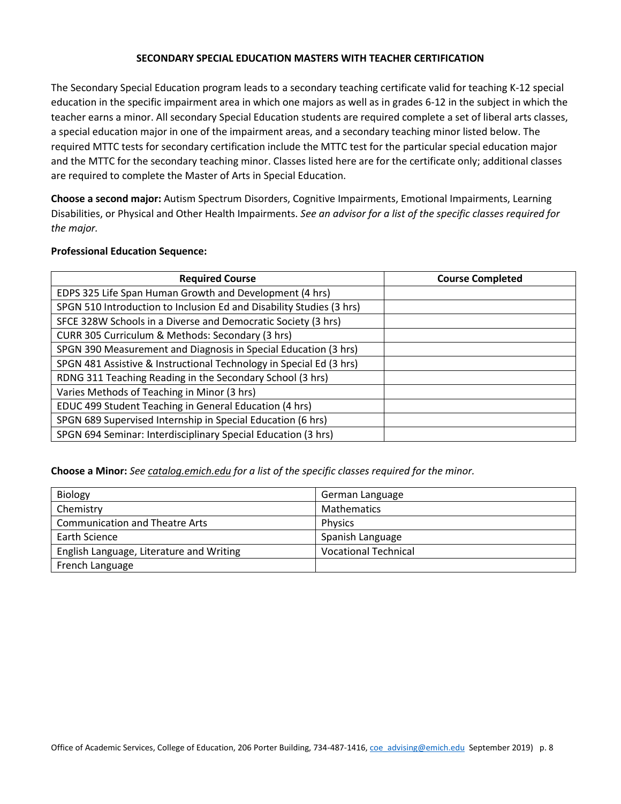#### **SECONDARY SPECIAL EDUCATION MASTERS WITH TEACHER CERTIFICATION**

The Secondary Special Education program leads to a secondary teaching certificate valid for teaching K-12 special education in the specific impairment area in which one majors as well as in grades 6-12 in the subject in which the teacher earns a minor. All secondary Special Education students are required complete a set of liberal arts classes, a special education major in one of the impairment areas, and a secondary teaching minor listed below. The required MTTC tests for secondary certification include the MTTC test for the particular special education major and the MTTC for the secondary teaching minor. Classes listed here are for the certificate only; additional classes are required to complete the Master of Arts in Special Education.

**Choose a second major:** Autism Spectrum Disorders, Cognitive Impairments, Emotional Impairments, Learning Disabilities, or Physical and Other Health Impairments. *See an advisor for a list of the specific classes required for the major.*

#### **Professional Education Sequence:**

| <b>Required Course</b>                                               | <b>Course Completed</b> |
|----------------------------------------------------------------------|-------------------------|
| EDPS 325 Life Span Human Growth and Development (4 hrs)              |                         |
| SPGN 510 Introduction to Inclusion Ed and Disability Studies (3 hrs) |                         |
| SFCE 328W Schools in a Diverse and Democratic Society (3 hrs)        |                         |
| CURR 305 Curriculum & Methods: Secondary (3 hrs)                     |                         |
| SPGN 390 Measurement and Diagnosis in Special Education (3 hrs)      |                         |
| SPGN 481 Assistive & Instructional Technology in Special Ed (3 hrs)  |                         |
| RDNG 311 Teaching Reading in the Secondary School (3 hrs)            |                         |
| Varies Methods of Teaching in Minor (3 hrs)                          |                         |
| EDUC 499 Student Teaching in General Education (4 hrs)               |                         |
| SPGN 689 Supervised Internship in Special Education (6 hrs)          |                         |
| SPGN 694 Seminar: Interdisciplinary Special Education (3 hrs)        |                         |

**Choose a Minor:** *See catalog.emich.edu for a list of the specific classes required for the minor.*

| <b>Biology</b>                           | German Language             |
|------------------------------------------|-----------------------------|
| Chemistry                                | <b>Mathematics</b>          |
| <b>Communication and Theatre Arts</b>    | <b>Physics</b>              |
| Earth Science                            | Spanish Language            |
| English Language, Literature and Writing | <b>Vocational Technical</b> |
| French Language                          |                             |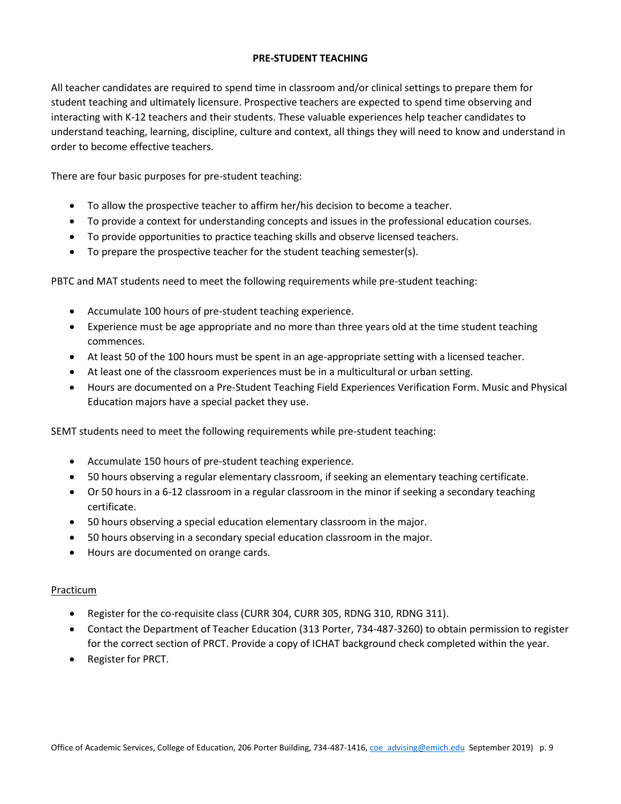## **PRE-STUDENT TEACHING**

All teacher candidates are required to spend time in classroom and/or clinical settings to prepare them for student teaching and ultimately licensure. Prospective teachers are expected to spend time observing and interacting with K-12 teachers and their students. These valuable experiences help teacher candidates to understand teaching, learning, discipline, culture and context, all things they will need to know and understand in order to become effective teachers.

There are four basic purposes for pre-student teaching:

- To allow the prospective teacher to affirm her/his decision to become a teacher.
- To provide a context for understanding concepts and issues in the professional education courses.
- To provide opportunities to practice teaching skills and observe licensed teachers.
- To prepare the prospective teacher for the student teaching semester(s).

PBTC and MAT students need to meet the following requirements while pre-student teaching:

- Accumulate 100 hours of pre-student teaching experience.
- Experience must be age appropriate and no more than three years old at the time student teaching commences.
- At least 50 of the 100 hours must be spent in an age-appropriate setting with a licensed teacher.
- At least one of the classroom experiences must be in a multicultural or urban setting.
- Hours are documented on a Pre-Student Teaching Field Experiences Verification Form. Music and Physical Education majors have a special packet they use.

SEMT students need to meet the following requirements while pre-student teaching:

- Accumulate 150 hours of pre-student teaching experience.
- 50 hours observing a regular elementary classroom, if seeking an elementary teaching certificate.
- Or 50 hours in a 6-12 classroom in a regular classroom in the minor if seeking a secondary teaching certificate.
- 50 hours observing a special education elementary classroom in the major.
- 50 hours observing in a secondary special education classroom in the major.
- Hours are documented on orange cards.

#### Practicum

- Register for the co-requisite class (CURR 304, CURR 305, RDNG 310, RDNG 311).
- Contact the Department of Teacher Education (313 Porter, 734-487-3260) to obtain permission to register for the correct section of PRCT. Provide a copy of ICHAT background check completed within the year.
- Register for PRCT.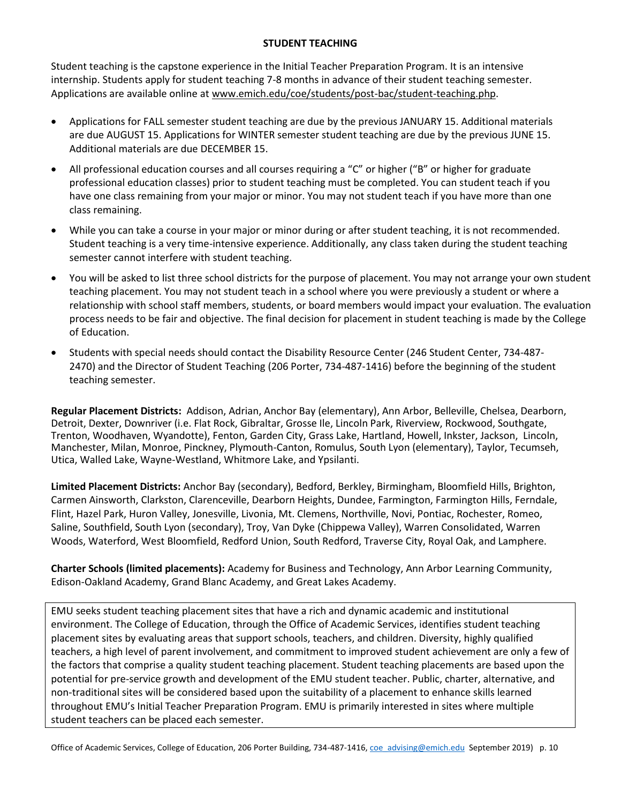## **STUDENT TEACHING**

Student teaching is the capstone experience in the Initial Teacher Preparation Program. It is an intensive internship. Students apply for student teaching 7-8 months in advance of their student teaching semester. Applications are available online at [www.emich.edu/coe/students/post-bac/student-teaching.php.](http://www.emich.edu/coe/students/post-bac/student-teaching.php)

- Applications for FALL semester student teaching are due by the previous JANUARY 15. Additional materials are due AUGUST 15. Applications for WINTER semester student teaching are due by the previous JUNE 15. Additional materials are due DECEMBER 15.
- All professional education courses and all courses requiring a "C" or higher ("B" or higher for graduate professional education classes) prior to student teaching must be completed. You can student teach if you have one class remaining from your major or minor. You may not student teach if you have more than one class remaining.
- While you can take a course in your major or minor during or after student teaching, it is not recommended. Student teaching is a very time-intensive experience. Additionally, any class taken during the student teaching semester cannot interfere with student teaching.
- You will be asked to list three school districts for the purpose of placement. You may not arrange your own student teaching placement. You may not student teach in a school where you were previously a student or where a relationship with school staff members, students, or board members would impact your evaluation. The evaluation process needs to be fair and objective. The final decision for placement in student teaching is made by the College of Education.
- Students with special needs should contact the Disability Resource Center (246 Student Center, 734-487- 2470) and the Director of Student Teaching (206 Porter, 734-487-1416) before the beginning of the student teaching semester.

**Regular Placement Districts:** Addison, Adrian, Anchor Bay (elementary), Ann Arbor, Belleville, Chelsea, Dearborn, Detroit, Dexter, Downriver (i.e. Flat Rock, Gibraltar, Grosse Ile, Lincoln Park, Riverview, Rockwood, Southgate, Trenton, Woodhaven, Wyandotte), Fenton, Garden City, Grass Lake, Hartland, Howell, Inkster, Jackson, Lincoln, Manchester, Milan, Monroe, Pinckney, Plymouth-Canton, Romulus, South Lyon (elementary), Taylor, Tecumseh, Utica, Walled Lake, Wayne-Westland, Whitmore Lake, and Ypsilanti.

**Limited Placement Districts:** Anchor Bay (secondary), Bedford, Berkley, Birmingham, Bloomfield Hills, Brighton, Carmen Ainsworth, Clarkston, Clarenceville, Dearborn Heights, Dundee, Farmington, Farmington Hills, Ferndale, Flint, Hazel Park, Huron Valley, Jonesville, Livonia, Mt. Clemens, Northville, Novi, Pontiac, Rochester, Romeo, Saline, Southfield, South Lyon (secondary), Troy, Van Dyke (Chippewa Valley), Warren Consolidated, Warren Woods, Waterford, West Bloomfield, Redford Union, South Redford, Traverse City, Royal Oak, and Lamphere.

**Charter Schools (limited placements):** Academy for Business and Technology, Ann Arbor Learning Community, Edison-Oakland Academy, Grand Blanc Academy, and Great Lakes Academy.

EMU seeks student teaching placement sites that have a rich and dynamic academic and institutional environment. The College of Education, through the Office of Academic Services, identifies student teaching placement sites by evaluating areas that support schools, teachers, and children. Diversity, highly qualified teachers, a high level of parent involvement, and commitment to improved student achievement are only a few of the factors that comprise a quality student teaching placement. Student teaching placements are based upon the potential for pre-service growth and development of the EMU student teacher. Public, charter, alternative, and non-traditional sites will be considered based upon the suitability of a placement to enhance skills learned throughout EMU's Initial Teacher Preparation Program. EMU is primarily interested in sites where multiple student teachers can be placed each semester.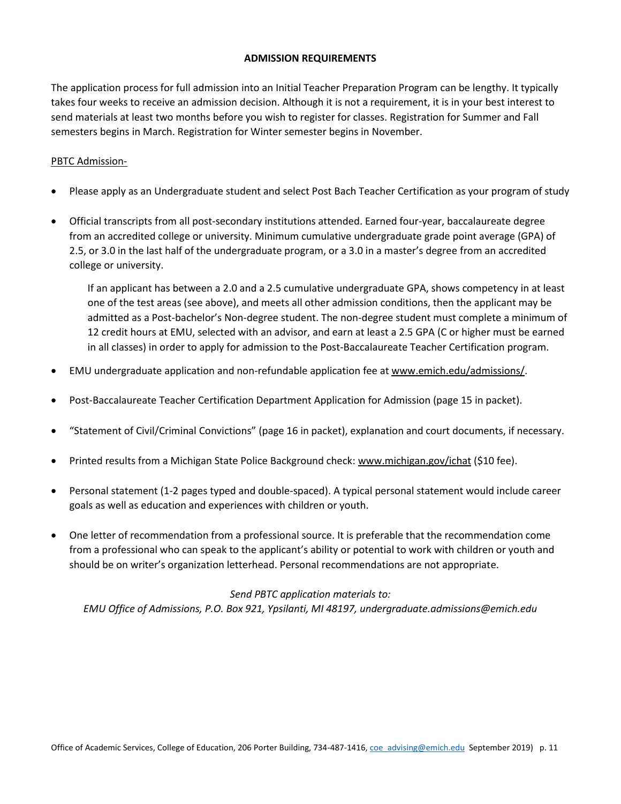#### **ADMISSION REQUIREMENTS**

The application process for full admission into an Initial Teacher Preparation Program can be lengthy. It typically takes four weeks to receive an admission decision. Although it is not a requirement, it is in your best interest to send materials at least two months before you wish to register for classes. Registration for Summer and Fall semesters begins in March. Registration for Winter semester begins in November.

## PBTC Admission-

- Please apply as an Undergraduate student and select Post Bach Teacher Certification as your program of study
- Official transcripts from all post-secondary institutions attended. Earned four-year, baccalaureate degree from an accredited college or university. Minimum cumulative undergraduate grade point average (GPA) of 2.5, or 3.0 in the last half of the undergraduate program, or a 3.0 in a master's degree from an accredited college or university.

If an applicant has between a 2.0 and a 2.5 cumulative undergraduate GPA, shows competency in at least one of the test areas (see above), and meets all other admission conditions, then the applicant may be admitted as a Post-bachelor's Non-degree student. The non-degree student must complete a minimum of 12 credit hours at EMU, selected with an advisor, and earn at least a 2.5 GPA (C or higher must be earned in all classes) in order to apply for admission to the Post-Baccalaureate Teacher Certification program.

- EMU undergraduate application and non-refundable application fee at [www.emich.edu/admissions/.](http://www.emich.edu/admissions/)
- Post-Baccalaureate Teacher Certification Department Application for Admission (page 15 in packet).
- "Statement of Civil/Criminal Convictions" (page 16 in packet), explanation and court documents, if necessary.
- Printed results from a Michigan State Police Background check: [www.michigan.gov/ichat](http://www.michigan.gov/ichat) (\$10 fee).
- Personal statement (1-2 pages typed and double-spaced). A typical personal statement would include career goals as well as education and experiences with children or youth.
- One letter of recommendation from a professional source. It is preferable that the recommendation come from a professional who can speak to the applicant's ability or potential to work with children or youth and should be on writer's organization letterhead. Personal recommendations are not appropriate.

#### *Send PBTC application materials to:*

*EMU Office of Admissions, P.O. Box 921, Ypsilanti, MI 48197, undergraduate.admissions@emich.edu*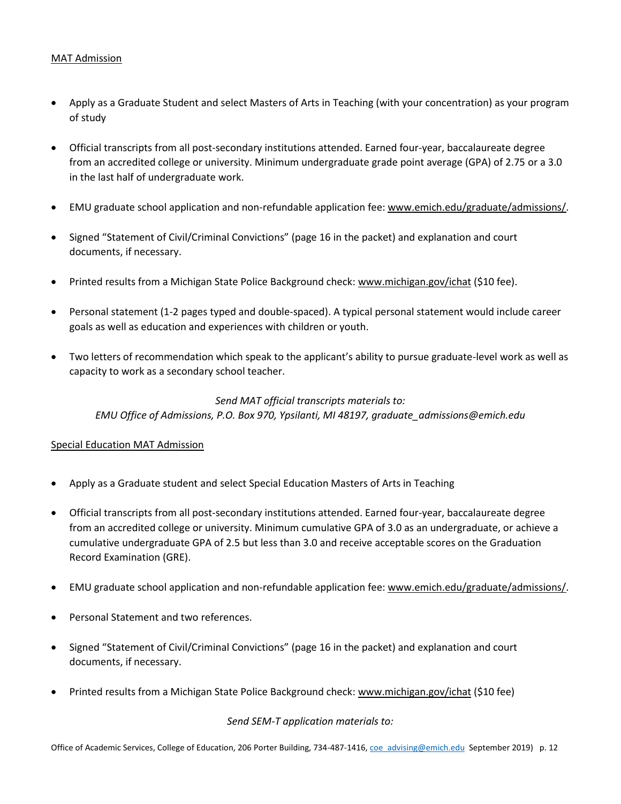## MAT Admission

- Apply as a Graduate Student and select Masters of Arts in Teaching (with your concentration) as your program of study
- Official transcripts from all post-secondary institutions attended. Earned four-year, baccalaureate degree from an accredited college or university. Minimum undergraduate grade point average (GPA) of 2.75 or a 3.0 in the last half of undergraduate work.
- EMU graduate school application and non-refundable application fee[: www.emich.edu/graduate/admissions/.](http://www.emich.edu/graduate/admissions/)
- Signed "Statement of Civil/Criminal Convictions" (page 16 in the packet) and explanation and court documents, if necessary.
- Printed results from a Michigan State Police Background check: [www.michigan.gov/ichat](http://www.michigan.gov/ichat) (\$10 fee).
- Personal statement (1-2 pages typed and double-spaced). A typical personal statement would include career goals as well as education and experiences with children or youth.
- Two letters of recommendation which speak to the applicant's ability to pursue graduate-level work as well as capacity to work as a secondary school teacher.

# *Send MAT official transcripts materials to: EMU Office of Admissions, P.O. Box 970, Ypsilanti, MI 48197, graduate\_admissions@emich.edu*

#### Special Education MAT Admission

- Apply as a Graduate student and select Special Education Masters of Arts in Teaching
- Official transcripts from all post-secondary institutions attended. Earned four-year, baccalaureate degree from an accredited college or university. Minimum cumulative GPA of 3.0 as an undergraduate, or achieve a cumulative undergraduate GPA of 2.5 but less than 3.0 and receive acceptable scores on the Graduation Record Examination (GRE).
- EMU graduate school application and non-refundable application fee[: www.emich.edu/graduate/admissions/.](http://www.emich.edu/graduate/admissions/)
- Personal Statement and two references.
- Signed "Statement of Civil/Criminal Convictions" (page 16 in the packet) and explanation and court documents, if necessary.
- Printed results from a Michigan State Police Background check: [www.michigan.gov/ichat](http://www.michigan.gov/ichat) (\$10 fee)

*Send SEM-T application materials to:*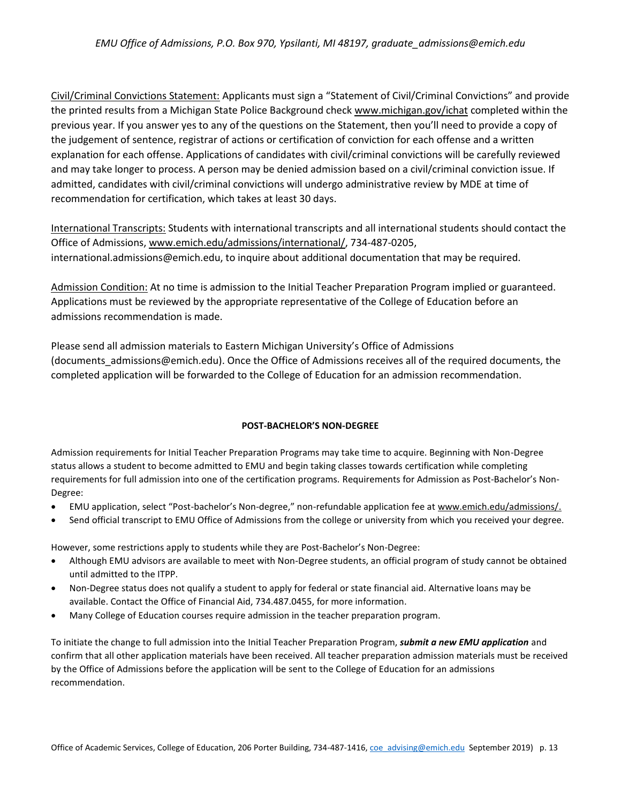Civil/Criminal Convictions Statement: Applicants must sign a "Statement of Civil/Criminal Convictions" and provide the printed results from a Michigan State Police Background chec[k www.michigan.gov/ichat](http://www.michigan.gov/ichat) completed within the previous year. If you answer yes to any of the questions on the Statement, then you'll need to provide a copy of the judgement of sentence, registrar of actions or certification of conviction for each offense and a written explanation for each offense. Applications of candidates with civil/criminal convictions will be carefully reviewed and may take longer to process. A person may be denied admission based on a civil/criminal conviction issue. If admitted, candidates with civil/criminal convictions will undergo administrative review by MDE at time of recommendation for certification, which takes at least 30 days.

International Transcripts: Students with international transcripts and all international students should contact the Office of Admissions, [www.emich.edu/admissions/international/,](http://www.emich.edu/admissions/international/) 734-487-0205, international.admissions@emich.edu, to inquire about additional documentation that may be required.

Admission Condition: At no time is admission to the Initial Teacher Preparation Program implied or guaranteed. Applications must be reviewed by the appropriate representative of the College of Education before an admissions recommendation is made.

Please send all admission materials to Eastern Michigan University's Office of Admissions (documents\_admissions@emich.edu). Once the Office of Admissions receives all of the required documents, the completed application will be forwarded to the College of Education for an admission recommendation.

#### **POST-BACHELOR'S NON-DEGREE**

Admission requirements for Initial Teacher Preparation Programs may take time to acquire. Beginning with Non-Degree status allows a student to become admitted to EMU and begin taking classes towards certification while completing requirements for full admission into one of the certification programs. Requirements for Admission as Post-Bachelor's Non-Degree:

- EMU application, select "Post-bachelor's Non-degree," non-refundable application fee a[t www.emich.edu/admissions/.](http://www.emich.edu/admissions/)
- Send official transcript to EMU Office of Admissions from the college or university from which you received your degree.

However, some restrictions apply to students while they are Post-Bachelor's Non-Degree:

- Although EMU advisors are available to meet with Non-Degree students, an official program of study cannot be obtained until admitted to the ITPP.
- Non-Degree status does not qualify a student to apply for federal or state financial aid. Alternative loans may be available. Contact the Office of Financial Aid, 734.487.0455, for more information.
- Many College of Education courses require admission in the teacher preparation program.

To initiate the change to full admission into the Initial Teacher Preparation Program, *submit a new EMU application* and confirm that all other application materials have been received. All teacher preparation admission materials must be received by the Office of Admissions before the application will be sent to the College of Education for an admissions recommendation.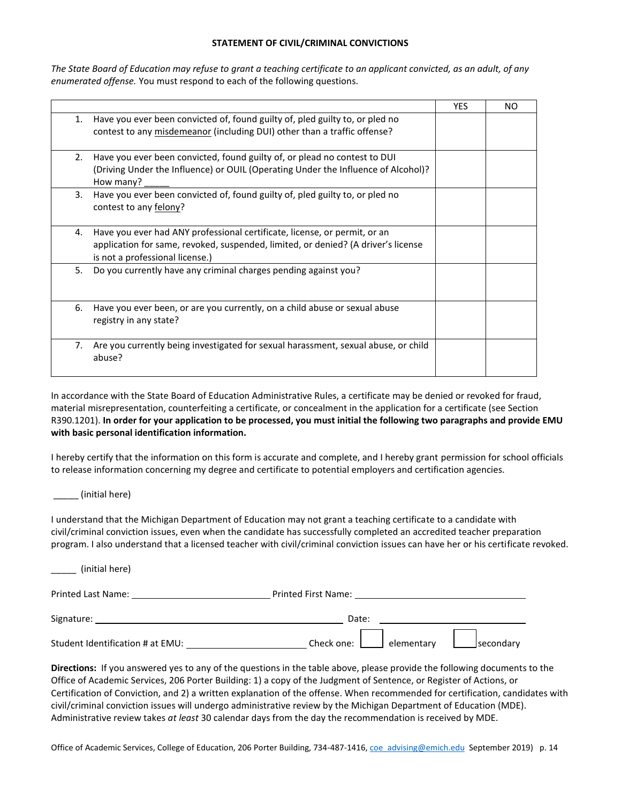#### **STATEMENT OF CIVIL/CRIMINAL CONVICTIONS**

*The State Board of Education may refuse to grant a teaching certificate to an applicant convicted, as an adult, of any enumerated offense.* You must respond to each of the following questions.

|                                                                                                                                                                                                         | <b>YES</b> | NO |
|---------------------------------------------------------------------------------------------------------------------------------------------------------------------------------------------------------|------------|----|
| Have you ever been convicted of, found guilty of, pled guilty to, or pled no<br>1.<br>contest to any misdemeanor (including DUI) other than a traffic offense?                                          |            |    |
| Have you ever been convicted, found guilty of, or plead no contest to DUI<br>2.<br>(Driving Under the Influence) or OUIL (Operating Under the Influence of Alcohol)?<br>How many?                       |            |    |
| Have you ever been convicted of, found guilty of, pled guilty to, or pled no<br>3.<br>contest to any felony?                                                                                            |            |    |
| Have you ever had ANY professional certificate, license, or permit, or an<br>4.<br>application for same, revoked, suspended, limited, or denied? (A driver's license<br>is not a professional license.) |            |    |
| 5.<br>Do you currently have any criminal charges pending against you?                                                                                                                                   |            |    |
| Have you ever been, or are you currently, on a child abuse or sexual abuse<br>6.<br>registry in any state?                                                                                              |            |    |
| Are you currently being investigated for sexual harassment, sexual abuse, or child<br>7.<br>abuse?                                                                                                      |            |    |

In accordance with the State Board of Education Administrative Rules, a certificate may be denied or revoked for fraud, material misrepresentation, counterfeiting a certificate, or concealment in the application for a certificate (see Section R390.1201). **In order for your application to be processed, you must initial the following two paragraphs and provide EMU with basic personal identification information.** 

I hereby certify that the information on this form is accurate and complete, and I hereby grant permission for school officials to release information concerning my degree and certificate to potential employers and certification agencies.

 $\_$  (initial here)

I understand that the Michigan Department of Education may not grant a teaching certificate to a candidate with civil/criminal conviction issues, even when the candidate has successfully completed an accredited teacher preparation program. I also understand that a licensed teacher with civil/criminal conviction issues can have her or his certificate revoked.

| (initial here)                                                                                                |                                        |
|---------------------------------------------------------------------------------------------------------------|----------------------------------------|
| Printed Last Name: Name and Service Services and Services and Services and Services and Services and Services | <b>Printed First Name:</b> Name:       |
| Signature:                                                                                                    | Date:                                  |
| Student Identification # at EMU:                                                                              | elementary<br>secondary_<br>Check one: |

**Directions:** If you answered yes to any of the questions in the table above, please provide the following documents to the Office of Academic Services, 206 Porter Building: 1) a copy of the Judgment of Sentence, or Register of Actions, or Certification of Conviction, and 2) a written explanation of the offense. When recommended for certification, candidates with civil/criminal conviction issues will undergo administrative review by the Michigan Department of Education (MDE). Administrative review takes *at least* 30 calendar days from the day the recommendation is received by MDE.